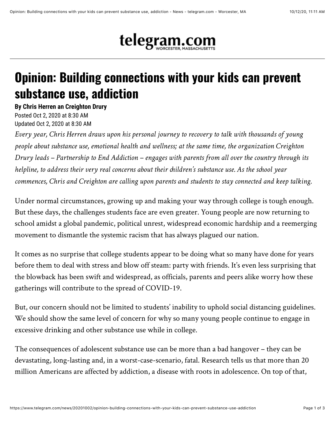

## **Opinion: Building connections with your kids can prevent substance use, addiction**

**By Chris Herren an Creighton Drury**

Posted Oct 2, 2020 at 8:30 AM Updated Oct 2, 2020 at 8:30 AM

*Every year, Chris Herren draws upon his personal journey to recovery to talk with thousands of young people about substance use, emotional health and wellness; at the same time, the organization Creighton Drury leads – Partnership to End Addiction – engages with parents from all over the country through its helpline, to address their very real concerns about their children's substance use. As the school year commences, Chris and Creighton are calling upon parents and students to stay connected and keep talking.*

Under normal circumstances, growing up and making your way through college is tough enough. But these days, the challenges students face are even greater. Young people are now returning to school amidst a global pandemic, political unrest, widespread economic hardship and a reemerging movement to dismantle the systemic racism that has always plagued our nation.

It comes as no surprise that college students appear to be doing what so many have done for years before them to deal with stress and blow off steam: party with friends. It's even less surprising that the blowback has been swift and widespread, as officials, parents and peers alike worry how these gatherings will contribute to the spread of COVID-19.

But, our concern should not be limited to students' inability to uphold social distancing guidelines. We should show the same level of concern for why so many young people continue to engage in excessive drinking and other substance use while in college.

The consequences of adolescent substance use can be more than a bad hangover – they can be devastating, long-lasting and, in a worst-case-scenario, fatal. Research tells us that more than 20 million Americans are affected by addiction, a disease with roots in adolescence. On top of that,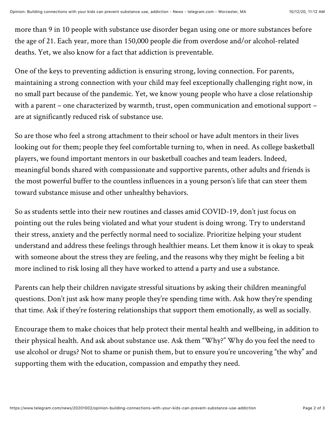more than 9 in 10 people with substance use disorder began using one or more substances before the age of 21. Each year, more than 150,000 people die from overdose and/or alcohol-related deaths. Yet, we also know for a fact that addiction is preventable.

One of the keys to preventing addiction is ensuring strong, loving connection. For parents, maintaining a strong connection with your child may feel exceptionally challenging right now, in no small part because of the pandemic. Yet, we know young people who have a close relationship with a parent – one characterized by warmth, trust, open communication and emotional support – are at significantly reduced risk of substance use.

So are those who feel a strong attachment to their school or have adult mentors in their lives looking out for them; people they feel comfortable turning to, when in need. As college basketball players, we found important mentors in our basketball coaches and team leaders. Indeed, meaningful bonds shared with compassionate and supportive parents, other adults and friends is the most powerful buffer to the countless influences in a young person's life that can steer them toward substance misuse and other unhealthy behaviors.

So as students settle into their new routines and classes amid COVID-19, don't just focus on pointing out the rules being violated and what your student is doing wrong. Try to understand their stress, anxiety and the perfectly normal need to socialize. Prioritize helping your student understand and address these feelings through healthier means. Let them know it is okay to speak with someone about the stress they are feeling, and the reasons why they might be feeling a bit more inclined to risk losing all they have worked to attend a party and use a substance.

Parents can help their children navigate stressful situations by asking their children meaningful questions. Don't just ask how many people they're spending time with. Ask how they're spending that time. Ask if they're fostering relationships that support them emotionally, as well as socially.

Encourage them to make choices that help protect their mental health and wellbeing, in addition to their physical health. And ask about substance use. Ask them "Why?" Why do you feel the need to use alcohol or drugs? Not to shame or punish them, but to ensure you're uncovering "the why" and supporting them with the education, compassion and empathy they need.